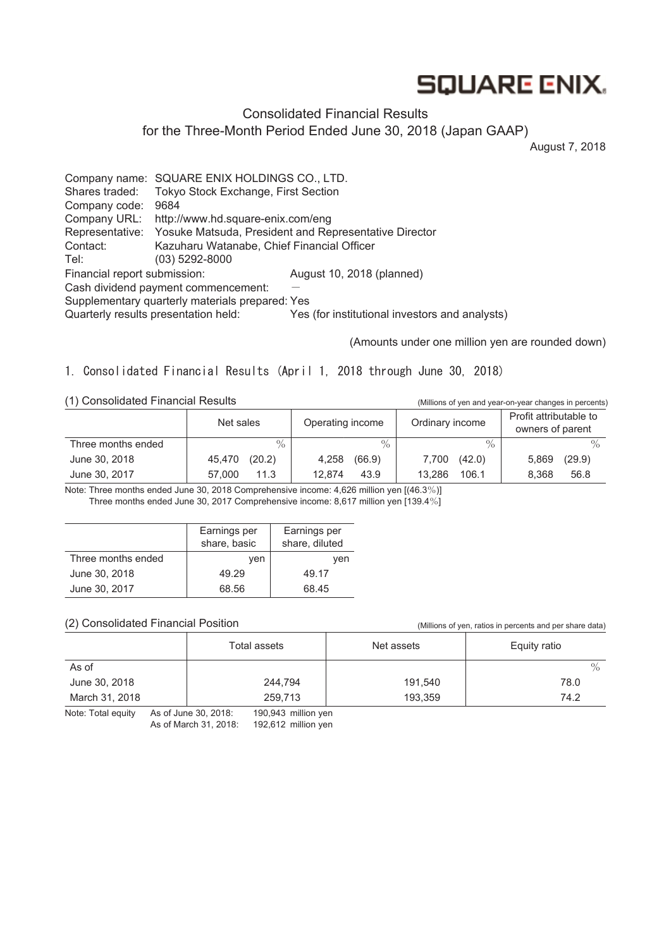# **SQUARE ENIX.**

# Consolidated Financial Results

for the Three-Month Period Ended June 30, 2018 (Japan GAAP)

August 7, 2018

Company name: SQUARE ENIX HOLDINGS CO., LTD. Shares traded: Tokyo Stock Exchange, First Section Company code: 9684 Company URL: http://www.hd.square-enix.com/eng Representative: Yosuke Matsuda, President and Representative Director Contact: Kazuharu Watanabe, Chief Financial Officer Tel: (03) 5292-8000 Financial report submission: August 10, 2018 (planned) Cash dividend payment commencement: Supplementary quarterly materials prepared: Yes Quarterly results presentation held: Yes (for institutional investors and analysts)

(Amounts under one million yen are rounded down)

1. Consolidated Financial Results (April 1, 2018 through June 30, 2018)

(1) Consolidated Financial Results (Millions of yen and year-on-year changes in percents)

|                    | Net sales     | Operating income | Ordinary income | Profit attributable to<br>owners of parent |
|--------------------|---------------|------------------|-----------------|--------------------------------------------|
| Three months ended | $\frac{0}{0}$ | $\frac{0}{0}$    | $\%$            | $\frac{0}{0}$                              |
| June 30, 2018      | (20.2)        | (66.9)           | (42.0)          | (29.9)                                     |
|                    | 45,470        | 4,258            | 7,700           | 5,869                                      |
| June 30, 2017      | 11.3          | 12.874           | 106.1           | 56.8                                       |
|                    | 57,000        | 43.9             | 13.286          | 8.368                                      |

Note: Three months ended June 30, 2018 Comprehensive income: 4,626 million yen [(46.3%)] Three months ended June 30, 2017 Comprehensive income: 8,617 million yen [139.4%]

|                    | Earnings per<br>share, basic | Earnings per<br>share, diluted |
|--------------------|------------------------------|--------------------------------|
| Three months ended | ven                          | ven                            |
| June 30, 2018      | 49.29                        | 49.17                          |
| June 30, 2017      | 68.56                        | 68.45                          |

#### (2) Consolidated Financial Position (Millions of yen, ratios in percents and per share data)

|                | Total assets | Net assets | Equity ratio |
|----------------|--------------|------------|--------------|
| As of          |              |            | $\%$         |
| June 30, 2018  | 244,794      | 191,540    | 78.0         |
| March 31, 2018 | 259,713      | 193,359    | 74.2         |

Note: Total equity As of June 30, 2018: 190,943 million yen As of March 31, 2018: 192,612 million yen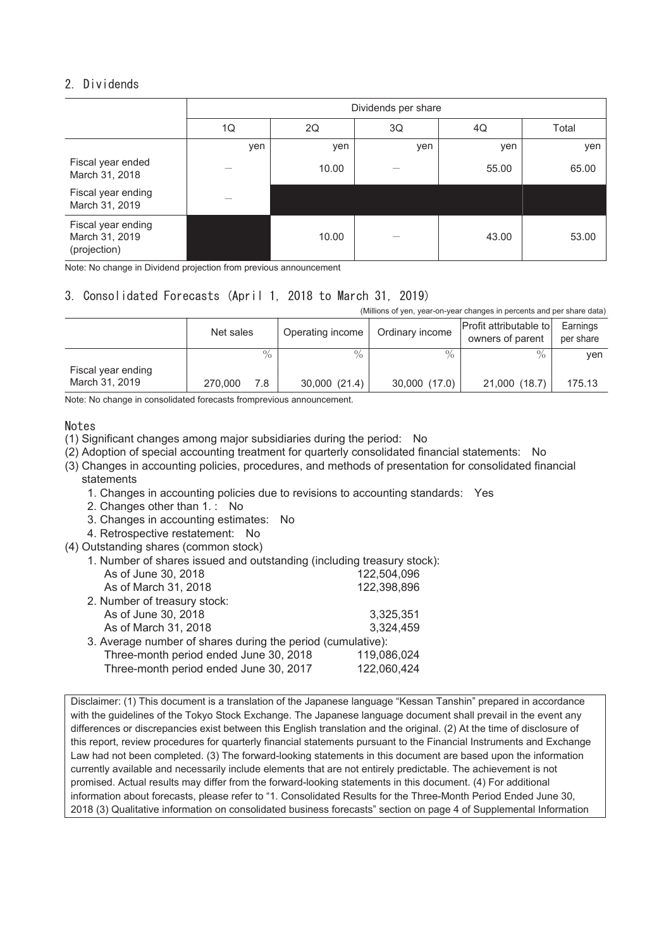# 2. Dividends

|                                                      | Dividends per share |       |          |       |       |  |  |
|------------------------------------------------------|---------------------|-------|----------|-------|-------|--|--|
|                                                      | 1Q                  | 2Q    | 3Q<br>4Q |       | Total |  |  |
|                                                      | yen                 | yen   | yen      | yen   | yen   |  |  |
| Fiscal year ended<br>March 31, 2018                  |                     | 10.00 |          | 55.00 | 65.00 |  |  |
| Fiscal year ending<br>March 31, 2019                 |                     |       |          |       |       |  |  |
| Fiscal year ending<br>March 31, 2019<br>(projection) |                     | 10.00 |          | 43.00 | 53.00 |  |  |

Note: No change in Dividend projection from previous announcement

# 3. Consolidated Forecasts (April 1, 2018 to March 31, 2019)

(Millions of yen, year-on-year changes in percents and per share data)

|                                      | Net sales      | Operating income | Ordinary income | Profit attributable to<br>owners of parent | Earnings<br>per share |
|--------------------------------------|----------------|------------------|-----------------|--------------------------------------------|-----------------------|
|                                      | $\%$           | $\%$             | $\frac{0}{6}$   | $\frac{0}{0}$                              | ven                   |
| Fiscal year ending<br>March 31, 2019 | 7.8<br>270,000 | 30,000 (21.4)    | 30,000 (17.0)   | 21,000 (18.7)                              | 175.13                |

Note: No change in consolidated forecasts fromprevious announcement.

#### Notes

(1) Significant changes among major subsidiaries during the period: No

- (2) Adoption of special accounting treatment for quarterly consolidated financial statements: No
- (3) Changes in accounting policies, procedures, and methods of presentation for consolidated financial statements

1. Changes in accounting policies due to revisions to accounting standards: Yes

- 2. Changes other than 1. : No
- 3. Changes in accounting estimates: No
- 4. Retrospective restatement: No
- (4) Outstanding shares (common stock)
	- 1. Number of shares issued and outstanding (including treasury stock):

| As of June 30, 2018                                         | 122,504,096 |
|-------------------------------------------------------------|-------------|
| As of March 31, 2018                                        | 122,398,896 |
| 2. Number of treasury stock:                                |             |
| As of June 30, 2018                                         | 3,325,351   |
| As of March 31, 2018                                        | 3,324,459   |
| 3. Average number of shares during the period (cumulative): |             |
| Three-month period ended June 30, 2018                      | 119,086,024 |
| Three-month period ended June 30, 2017                      | 122,060,424 |
|                                                             |             |

Disclaimer: (1) This document is a translation of the Japanese language "Kessan Tanshin" prepared in accordance with the guidelines of the Tokyo Stock Exchange. The Japanese language document shall prevail in the event any differences or discrepancies exist between this English translation and the original. (2) At the time of disclosure of this report, review procedures for quarterly financial statements pursuant to the Financial Instruments and Exchange Law had not been completed. (3) The forward-looking statements in this document are based upon the information currently available and necessarily include elements that are not entirely predictable. The achievement is not promised. Actual results may differ from the forward-looking statements in this document. (4) For additional information about forecasts, please refer to "1. Consolidated Results for the Three-Month Period Ended June 30, 2018 (3) Qualitative information on consolidated business forecasts" section on page 4 of Supplemental Information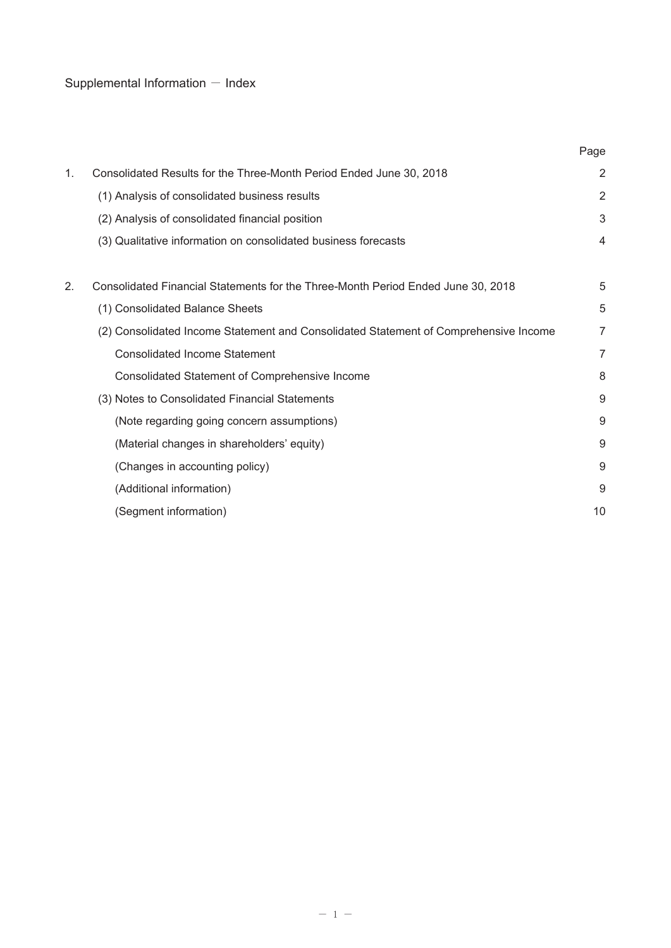# Supplemental Information  $-$  Index

|    |                                                                                      | Page           |
|----|--------------------------------------------------------------------------------------|----------------|
| 1. | Consolidated Results for the Three-Month Period Ended June 30, 2018                  | $\overline{a}$ |
|    | (1) Analysis of consolidated business results                                        | $\overline{2}$ |
|    | (2) Analysis of consolidated financial position                                      | 3              |
|    | (3) Qualitative information on consolidated business forecasts                       | 4              |
|    |                                                                                      |                |
| 2. | Consolidated Financial Statements for the Three-Month Period Ended June 30, 2018     | 5              |
|    | (1) Consolidated Balance Sheets                                                      | 5              |
|    | (2) Consolidated Income Statement and Consolidated Statement of Comprehensive Income | 7              |
|    | <b>Consolidated Income Statement</b>                                                 | 7              |
|    | Consolidated Statement of Comprehensive Income                                       | 8              |
|    | (3) Notes to Consolidated Financial Statements                                       | 9              |
|    | (Note regarding going concern assumptions)                                           | 9              |
|    | (Material changes in shareholders' equity)                                           | 9              |
|    | (Changes in accounting policy)                                                       | 9              |
|    | (Additional information)                                                             | 9              |
|    | (Segment information)                                                                | 10             |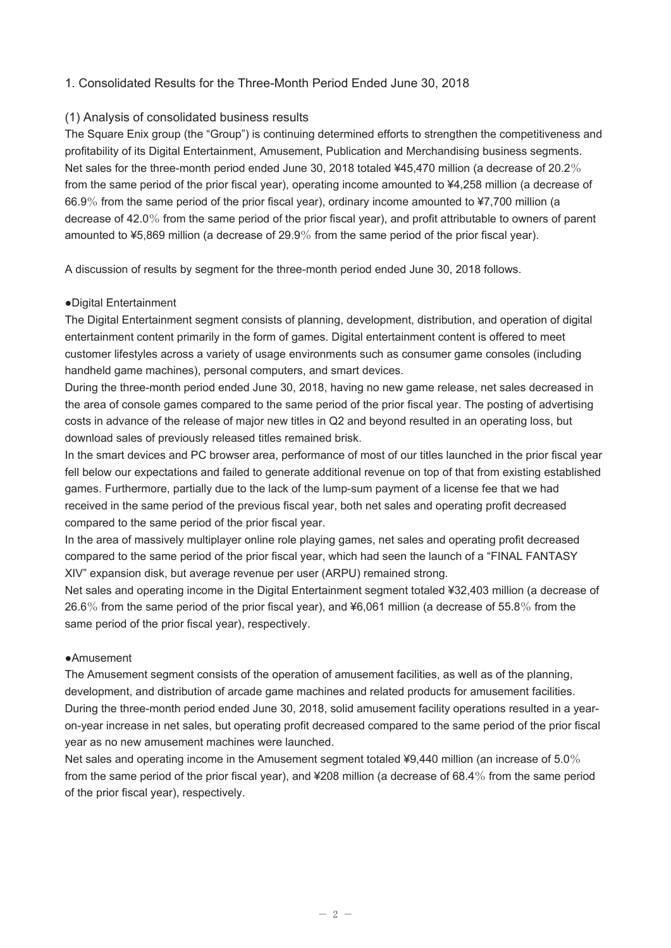# 1. Consolidated Results for the Three-Month Period Ended June 30, 2018

#### (1) Analysis of consolidated business results

The Square Enix group (the "Group") is continuing determined efforts to strengthen the competitiveness and profitability of its Digital Entertainment, Amusement, Publication and Merchandising business segments. Net sales for the three-month period ended June 30, 2018 totaled ¥45,470 million (a decrease of 20.2% from the same period of the prior fiscal year), operating income amounted to ¥4,258 million (a decrease of 66.9% from the same period of the prior fiscal year), ordinary income amounted to ¥7,700 million (a decrease of 42.0% from the same period of the prior fiscal year), and profit attributable to owners of parent amounted to ¥5,869 million (a decrease of 29.9% from the same period of the prior fiscal year).

A discussion of results by segment for the three-month period ended June 30, 2018 follows.

#### ●Digital Entertainment

The Digital Entertainment segment consists of planning, development, distribution, and operation of digital entertainment content primarily in the form of games. Digital entertainment content is offered to meet customer lifestyles across a variety of usage environments such as consumer game consoles (including handheld game machines), personal computers, and smart devices.

During the three-month period ended June 30, 2018, having no new game release, net sales decreased in the area of console games compared to the same period of the prior fiscal year. The posting of advertising costs in advance of the release of major new titles in Q2 and beyond resulted in an operating loss, but download sales of previously released titles remained brisk.

In the smart devices and PC browser area, performance of most of our titles launched in the prior fiscal year fell below our expectations and failed to generate additional revenue on top of that from existing established games. Furthermore, partially due to the lack of the lump-sum payment of a license fee that we had received in the same period of the previous fiscal year, both net sales and operating profit decreased compared to the same period of the prior fiscal year.

In the area of massively multiplayer online role playing games, net sales and operating profit decreased compared to the same period of the prior fiscal year, which had seen the launch of a "FINAL FANTASY XIV" expansion disk, but average revenue per user (ARPU) remained strong.

Net sales and operating income in the Digital Entertainment segment totaled ¥32,403 million (a decrease of 26.6% from the same period of the prior fiscal year), and ¥6,061 million (a decrease of 55.8% from the same period of the prior fiscal year), respectively.

#### ●Amusement

The Amusement segment consists of the operation of amusement facilities, as well as of the planning, development, and distribution of arcade game machines and related products for amusement facilities. During the three-month period ended June 30, 2018, solid amusement facility operations resulted in a yearon-year increase in net sales, but operating profit decreased compared to the same period of the prior fiscal year as no new amusement machines were launched.

Net sales and operating income in the Amusement segment totaled ¥9,440 million (an increase of 5.0% from the same period of the prior fiscal year), and ¥208 million (a decrease of 68.4% from the same period of the prior fiscal year), respectively.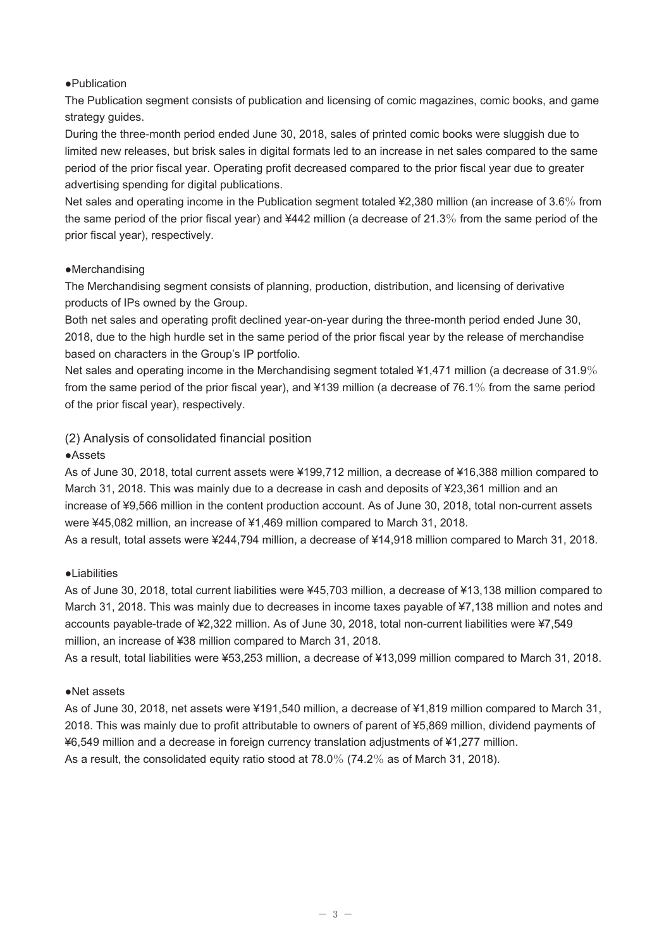#### ●Publication

The Publication segment consists of publication and licensing of comic magazines, comic books, and game strategy guides.

During the three-month period ended June 30, 2018, sales of printed comic books were sluggish due to limited new releases, but brisk sales in digital formats led to an increase in net sales compared to the same period of the prior fiscal year. Operating profit decreased compared to the prior fiscal year due to greater advertising spending for digital publications.

Net sales and operating income in the Publication segment totaled ¥2,380 million (an increase of 3.6% from the same period of the prior fiscal year) and ¥442 million (a decrease of 21.3% from the same period of the prior fiscal year), respectively.

#### ●Merchandising

The Merchandising segment consists of planning, production, distribution, and licensing of derivative products of IPs owned by the Group.

Both net sales and operating profit declined year-on-year during the three-month period ended June 30, 2018, due to the high hurdle set in the same period of the prior fiscal year by the release of merchandise based on characters in the Group's IP portfolio.

Net sales and operating income in the Merchandising segment totaled ¥1,471 million (a decrease of 31.9% from the same period of the prior fiscal year), and ¥139 million (a decrease of 76.1% from the same period of the prior fiscal year), respectively.

# (2) Analysis of consolidated financial position

# ●Assets

As of June 30, 2018, total current assets were ¥199,712 million, a decrease of ¥16,388 million compared to March 31, 2018. This was mainly due to a decrease in cash and deposits of ¥23,361 million and an increase of ¥9,566 million in the content production account. As of June 30, 2018, total non-current assets were ¥45,082 million, an increase of ¥1,469 million compared to March 31, 2018.

As a result, total assets were ¥244,794 million, a decrease of ¥14,918 million compared to March 31, 2018.

# ●Liabilities

As of June 30, 2018, total current liabilities were ¥45,703 million, a decrease of ¥13,138 million compared to March 31, 2018. This was mainly due to decreases in income taxes payable of ¥7,138 million and notes and accounts payable-trade of ¥2,322 million. As of June 30, 2018, total non-current liabilities were ¥7,549 million, an increase of ¥38 million compared to March 31, 2018.

As a result, total liabilities were ¥53,253 million, a decrease of ¥13,099 million compared to March 31, 2018.

# ●Net assets

As of June 30, 2018, net assets were ¥191,540 million, a decrease of ¥1,819 million compared to March 31, 2018. This was mainly due to profit attributable to owners of parent of ¥5,869 million, dividend payments of ¥6,549 million and a decrease in foreign currency translation adjustments of ¥1,277 million. As a result, the consolidated equity ratio stood at 78.0% (74.2% as of March 31, 2018).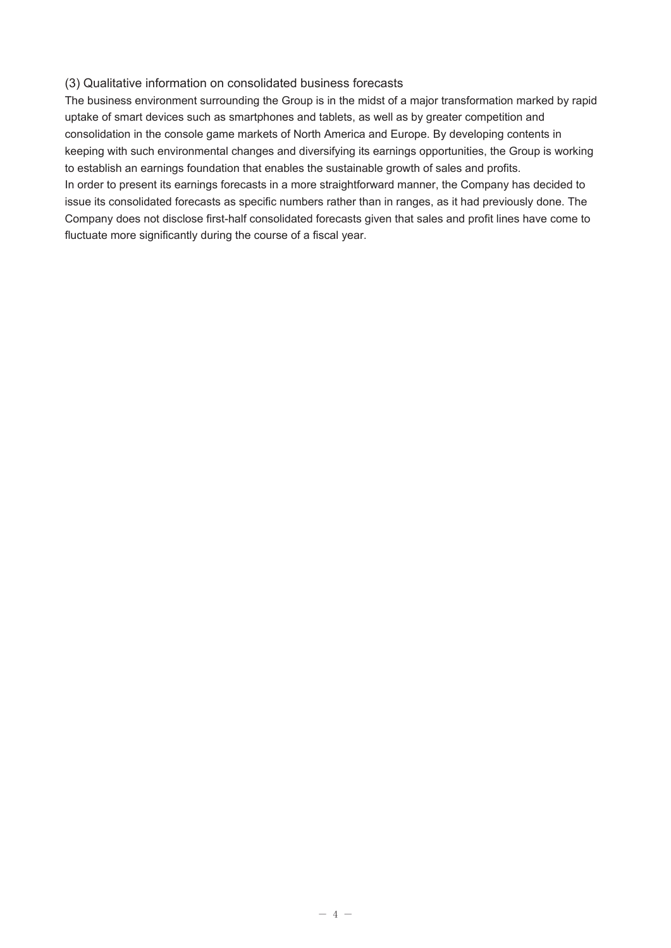#### (3) Qualitative information on consolidated business forecasts

The business environment surrounding the Group is in the midst of a major transformation marked by rapid uptake of smart devices such as smartphones and tablets, as well as by greater competition and consolidation in the console game markets of North America and Europe. By developing contents in keeping with such environmental changes and diversifying its earnings opportunities, the Group is working to establish an earnings foundation that enables the sustainable growth of sales and profits. In order to present its earnings forecasts in a more straightforward manner, the Company has decided to issue its consolidated forecasts as specific numbers rather than in ranges, as it had previously done. The Company does not disclose first-half consolidated forecasts given that sales and profit lines have come to fluctuate more significantly during the course of a fiscal year.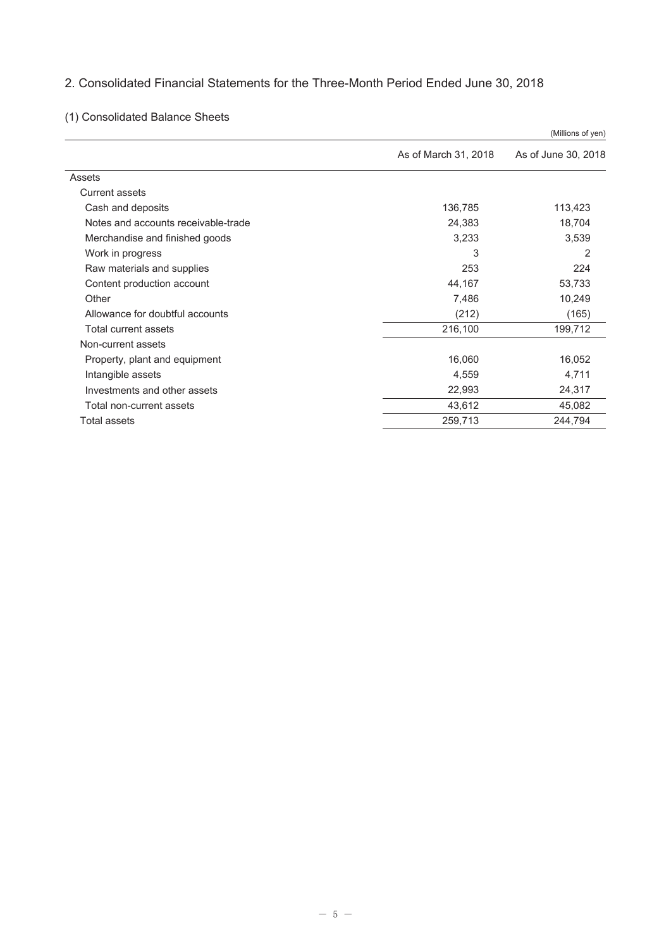# 2. Consolidated Financial Statements for the Three-Month Period Ended June 30, 2018

# (1) Consolidated Balance Sheets

|                                     |                      | (Millions of yen)   |
|-------------------------------------|----------------------|---------------------|
|                                     | As of March 31, 2018 | As of June 30, 2018 |
| Assets                              |                      |                     |
| Current assets                      |                      |                     |
| Cash and deposits                   | 136,785              | 113,423             |
| Notes and accounts receivable-trade | 24,383               | 18,704              |
| Merchandise and finished goods      | 3,233                | 3,539               |
| Work in progress                    | 3                    | $\overline{2}$      |
| Raw materials and supplies          | 253                  | 224                 |
| Content production account          | 44,167               | 53,733              |
| Other                               | 7,486                | 10,249              |
| Allowance for doubtful accounts     | (212)                | (165)               |
| Total current assets                | 216,100              | 199,712             |
| Non-current assets                  |                      |                     |
| Property, plant and equipment       | 16,060               | 16,052              |
| Intangible assets                   | 4,559                | 4,711               |
| Investments and other assets        | 22,993               | 24,317              |
| Total non-current assets            | 43,612               | 45,082              |
| Total assets                        | 259,713              | 244,794             |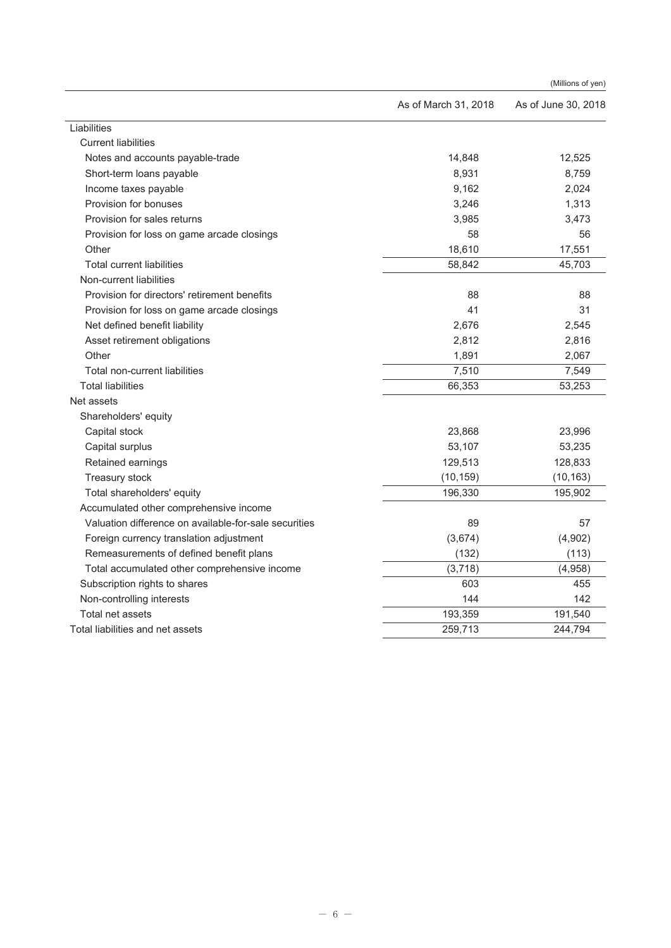|                                                       |                      | (Millions of yen)   |
|-------------------------------------------------------|----------------------|---------------------|
|                                                       | As of March 31, 2018 | As of June 30, 2018 |
| Liabilities                                           |                      |                     |
| <b>Current liabilities</b>                            |                      |                     |
| Notes and accounts payable-trade                      | 14,848               | 12,525              |
| Short-term loans payable                              | 8,931                | 8,759               |
| Income taxes payable                                  | 9,162                | 2,024               |
| Provision for bonuses                                 | 3,246                | 1,313               |
| Provision for sales returns                           | 3,985                | 3,473               |
| Provision for loss on game arcade closings            | 58                   | 56                  |
| Other                                                 | 18,610               | 17,551              |
| <b>Total current liabilities</b>                      | 58,842               | 45,703              |
| Non-current liabilities                               |                      |                     |
| Provision for directors' retirement benefits          | 88                   | 88                  |
| Provision for loss on game arcade closings            | 41                   | 31                  |
| Net defined benefit liability                         | 2,676                | 2,545               |
| Asset retirement obligations                          | 2,812                | 2,816               |
| Other                                                 | 1,891                | 2,067               |
| Total non-current liabilities                         | 7,510                | 7,549               |
| <b>Total liabilities</b>                              | 66,353               | 53,253              |
| Net assets                                            |                      |                     |
| Shareholders' equity                                  |                      |                     |
| Capital stock                                         | 23,868               | 23,996              |
| Capital surplus                                       | 53,107               | 53,235              |
| Retained earnings                                     | 129,513              | 128,833             |
| Treasury stock                                        | (10, 159)            | (10, 163)           |
| Total shareholders' equity                            | 196,330              | 195,902             |
| Accumulated other comprehensive income                |                      |                     |
| Valuation difference on available-for-sale securities | 89                   | 57                  |
| Foreign currency translation adjustment               | (3,674)              | (4,902)             |
| Remeasurements of defined benefit plans               | (132)                | (113)               |
| Total accumulated other comprehensive income          | (3,718)              | (4,958)             |
| Subscription rights to shares                         | 603                  | 455                 |
| Non-controlling interests                             | 144                  | 142                 |
| Total net assets                                      | 193,359              | 191,540             |
| Total liabilities and net assets                      | 259,713              | 244,794             |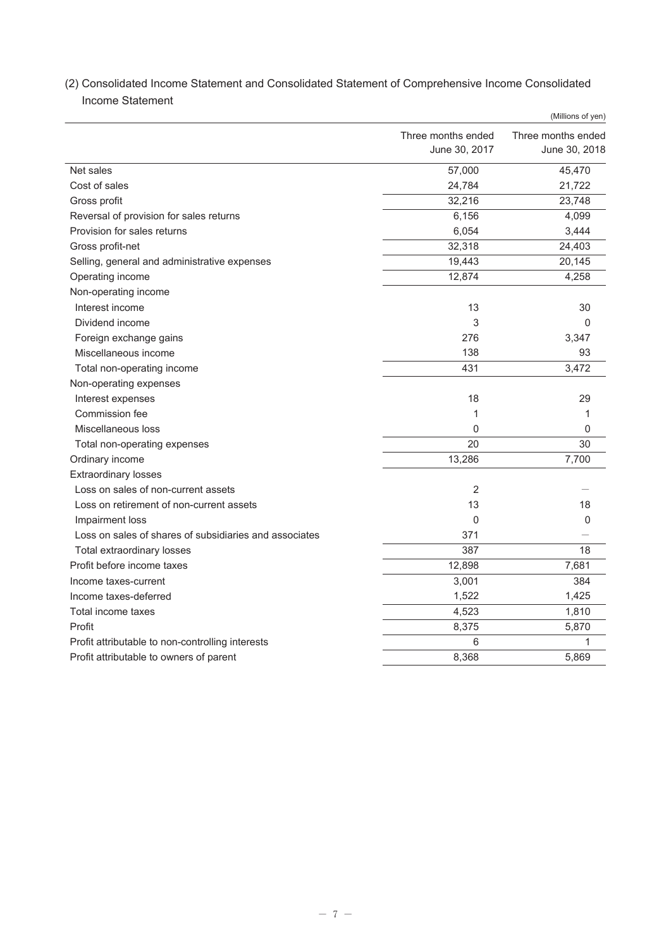|                                                        |                                     | (Millions of yen)                   |
|--------------------------------------------------------|-------------------------------------|-------------------------------------|
|                                                        | Three months ended<br>June 30, 2017 | Three months ended<br>June 30, 2018 |
| Net sales                                              | 57,000                              | 45,470                              |
| Cost of sales                                          | 24,784                              | 21,722                              |
| Gross profit                                           | 32,216                              | 23,748                              |
| Reversal of provision for sales returns                | 6,156                               | 4,099                               |
| Provision for sales returns                            | 6,054                               | 3,444                               |
| Gross profit-net                                       | 32,318                              | 24,403                              |
| Selling, general and administrative expenses           | 19,443                              | 20,145                              |
| Operating income                                       | 12,874                              | 4,258                               |
| Non-operating income                                   |                                     |                                     |
| Interest income                                        | 13                                  | 30                                  |
| Dividend income                                        | 3                                   | $\mathbf{0}$                        |
| Foreign exchange gains                                 | 276                                 | 3,347                               |
| Miscellaneous income                                   | 138                                 | 93                                  |
| Total non-operating income                             | 431                                 | 3,472                               |
| Non-operating expenses                                 |                                     |                                     |
| Interest expenses                                      | 18                                  | 29                                  |
| Commission fee                                         | 1                                   | 1                                   |
| Miscellaneous loss                                     | 0                                   | 0                                   |
| Total non-operating expenses                           | 20                                  | 30                                  |
| Ordinary income                                        | 13,286                              | 7,700                               |
| <b>Extraordinary losses</b>                            |                                     |                                     |
| Loss on sales of non-current assets                    | $\overline{2}$                      |                                     |
| Loss on retirement of non-current assets               | 13                                  | 18                                  |
| Impairment loss                                        | 0                                   | 0                                   |
| Loss on sales of shares of subsidiaries and associates | 371                                 |                                     |
| Total extraordinary losses                             | 387                                 | 18                                  |
| Profit before income taxes                             | 12,898                              | 7,681                               |
| Income taxes-current                                   | 3,001                               | 384                                 |
| Income taxes-deferred                                  | 1,522                               | 1,425                               |
| Total income taxes                                     | 4,523                               | 1,810                               |
| Profit                                                 | 8,375                               | 5,870                               |
| Profit attributable to non-controlling interests       | 6                                   | 1                                   |
| Profit attributable to owners of parent                | 8,368                               | 5,869                               |

(2) Consolidated Income Statement and Consolidated Statement of Comprehensive Income Consolidated Income Statement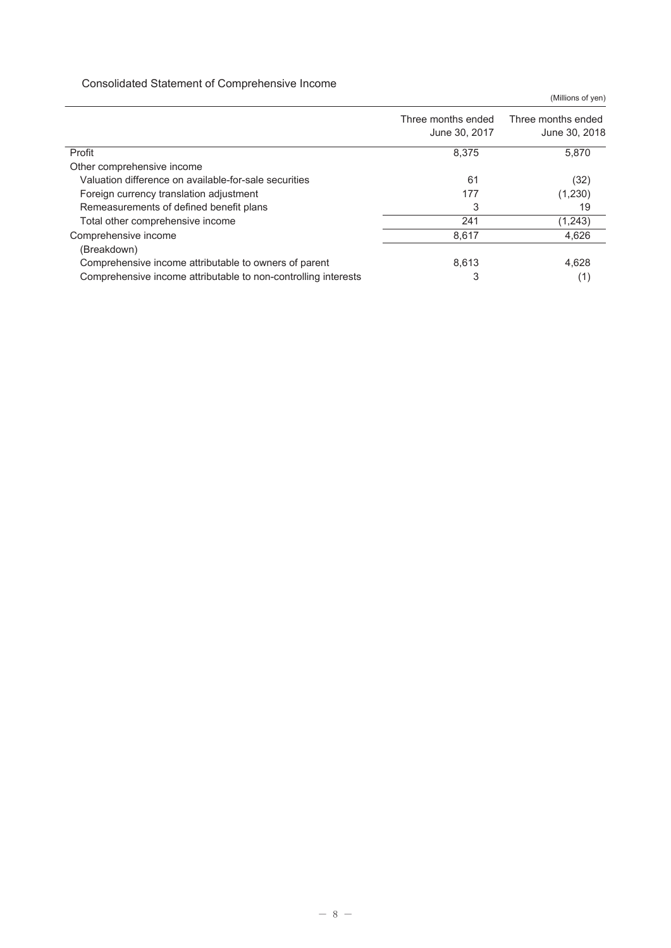#### Consolidated Statement of Comprehensive Income

|                                                                | (Millions of yen)                   |                                     |  |  |
|----------------------------------------------------------------|-------------------------------------|-------------------------------------|--|--|
|                                                                | Three months ended<br>June 30, 2017 | Three months ended<br>June 30, 2018 |  |  |
| Profit                                                         | 8.375                               | 5,870                               |  |  |
| Other comprehensive income                                     |                                     |                                     |  |  |
| Valuation difference on available-for-sale securities          | 61                                  | (32)                                |  |  |
| Foreign currency translation adjustment                        | 177                                 | (1,230)                             |  |  |
| Remeasurements of defined benefit plans                        | 3                                   | 19                                  |  |  |
| Total other comprehensive income                               | 241                                 | (1,243)                             |  |  |
| Comprehensive income                                           | 8,617                               | 4,626                               |  |  |
| (Breakdown)                                                    |                                     |                                     |  |  |
| Comprehensive income attributable to owners of parent          | 8,613                               | 4,628                               |  |  |
| Comprehensive income attributable to non-controlling interests | 3                                   | (1)                                 |  |  |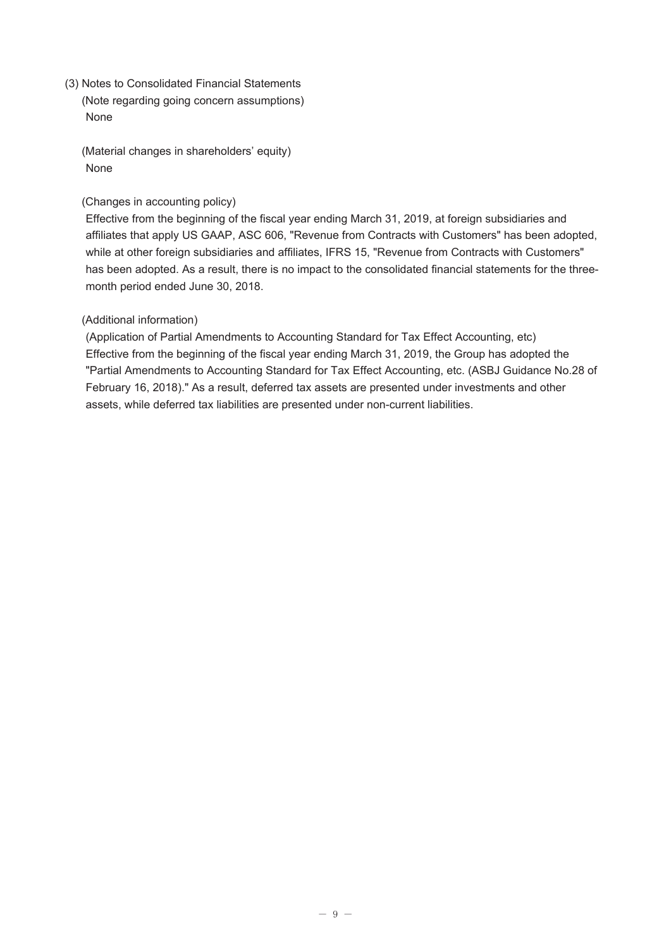(3) Notes to Consolidated Financial Statements (Note regarding going concern assumptions) None

(Material changes in shareholders' equity) None

#### (Changes in accounting policy)

Effective from the beginning of the fiscal year ending March 31, 2019, at foreign subsidiaries and affiliates that apply US GAAP, ASC 606, "Revenue from Contracts with Customers" has been adopted, while at other foreign subsidiaries and affiliates, IFRS 15, "Revenue from Contracts with Customers" has been adopted. As a result, there is no impact to the consolidated financial statements for the threemonth period ended June 30, 2018.

# (Additional information)

(Application of Partial Amendments to Accounting Standard for Tax Effect Accounting, etc) Effective from the beginning of the fiscal year ending March 31, 2019, the Group has adopted the "Partial Amendments to Accounting Standard for Tax Effect Accounting, etc. (ASBJ Guidance No.28 of February 16, 2018)." As a result, deferred tax assets are presented under investments and other assets, while deferred tax liabilities are presented under non-current liabilities.